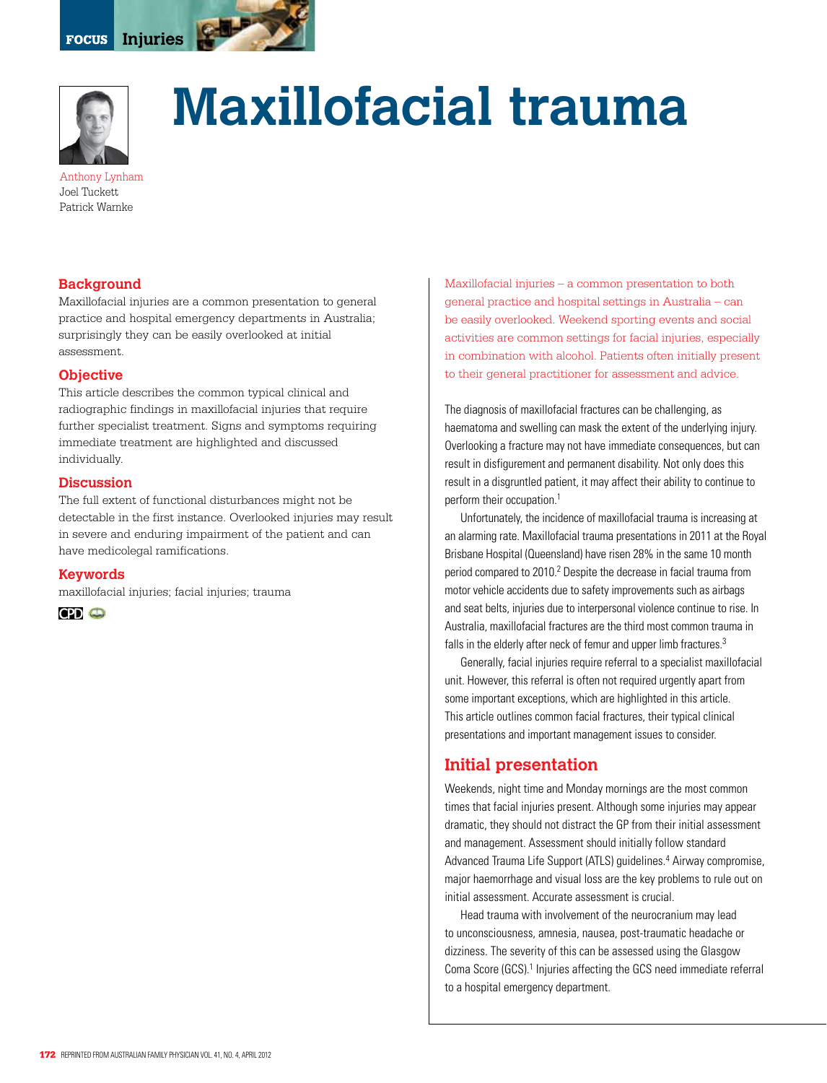



# **Maxillofacial trauma**

Anthony Lynham Joel Tuckett Patrick Warnke

## **Background**

Maxillofacial injuries are a common presentation to general practice and hospital emergency departments in Australia; surprisingly they can be easily overlooked at initial assessment.

#### **Objective**

This article describes the common typical clinical and radiographic findings in maxillofacial injuries that require further specialist treatment. Signs and symptoms requiring immediate treatment are highlighted and discussed individually.

#### **Discussion**

The full extent of functional disturbances might not be detectable in the first instance. Overlooked injuries may result in severe and enduring impairment of the patient and can have medicolegal ramifications.

#### **Keywords**

maxillofacial injuries; facial injuries; trauma

**CPD** ©

Maxillofacial injuries – a common presentation to both general practice and hospital settings in Australia – can be easily overlooked. Weekend sporting events and social activities are common settings for facial injuries, especially in combination with alcohol. Patients often initially present to their general practitioner for assessment and advice.

The diagnosis of maxillofacial fractures can be challenging, as haematoma and swelling can mask the extent of the underlying injury. Overlooking a fracture may not have immediate consequences, but can result in disfigurement and permanent disability. Not only does this result in a disgruntled patient, it may affect their ability to continue to perform their occupation.<sup>1</sup>

Unfortunately, the incidence of maxillofacial trauma is increasing at an alarming rate. Maxillofacial trauma presentations in 2011 at the Royal Brisbane Hospital (Queensland) have risen 28% in the same 10 month period compared to 2010.<sup>2</sup> Despite the decrease in facial trauma from motor vehicle accidents due to safety improvements such as airbags and seat belts, injuries due to interpersonal violence continue to rise. In Australia, maxillofacial fractures are the third most common trauma in falls in the elderly after neck of femur and upper limb fractures.<sup>3</sup>

Generally, facial injuries require referral to a specialist maxillofacial unit. However, this referral is often not required urgently apart from some important exceptions, which are highlighted in this article. This article outlines common facial fractures, their typical clinical presentations and important management issues to consider.

# **Initial presentation**

Weekends, night time and Monday mornings are the most common times that facial injuries present. Although some injuries may appear dramatic, they should not distract the GP from their initial assessment and management. Assessment should initially follow standard Advanced Trauma Life Support (ATLS) guidelines.<sup>4</sup> Airway compromise, major haemorrhage and visual loss are the key problems to rule out on initial assessment. Accurate assessment is crucial.

Head trauma with involvement of the neurocranium may lead to unconsciousness, amnesia, nausea, post-traumatic headache or dizziness. The severity of this can be assessed using the Glasgow Coma Score (GCS).<sup>1</sup> Injuries affecting the GCS need immediate referral to a hospital emergency department.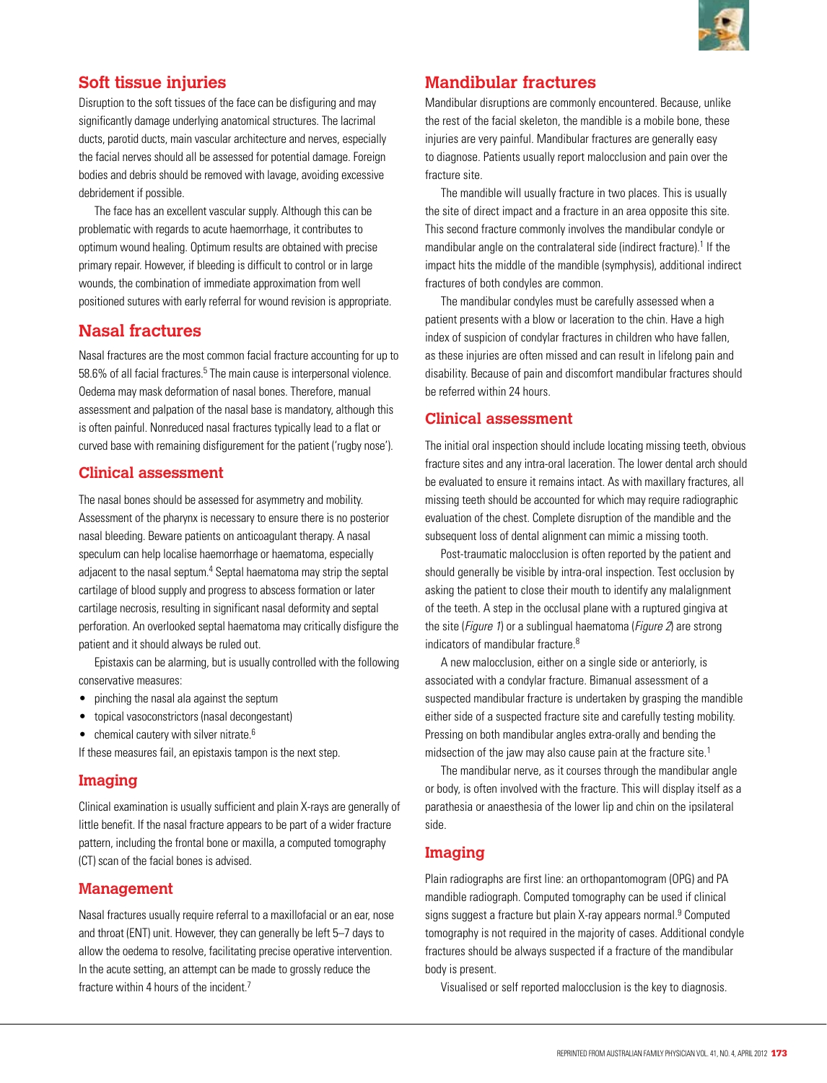

# **Soft tissue injuries**

Disruption to the soft tissues of the face can be disfiguring and may significantly damage underlying anatomical structures. The lacrimal ducts, parotid ducts, main vascular architecture and nerves, especially the facial nerves should all be assessed for potential damage. Foreign bodies and debris should be removed with lavage, avoiding excessive debridement if possible.

The face has an excellent vascular supply. Although this can be problematic with regards to acute haemorrhage, it contributes to optimum wound healing. Optimum results are obtained with precise primary repair. However, if bleeding is difficult to control or in large wounds, the combination of immediate approximation from well positioned sutures with early referral for wound revision is appropriate.

# **Nasal fractures**

Nasal fractures are the most common facial fracture accounting for up to 58.6% of all facial fractures.<sup>5</sup> The main cause is interpersonal violence. Oedema may mask deformation of nasal bones. Therefore, manual assessment and palpation of the nasal base is mandatory, although this is often painful. Nonreduced nasal fractures typically lead to a flat or curved base with remaining disfigurement for the patient ('rugby nose').

# **Clinical assessment**

The nasal bones should be assessed for asymmetry and mobility. Assessment of the pharynx is necessary to ensure there is no posterior nasal bleeding. Beware patients on anticoagulant therapy. A nasal speculum can help localise haemorrhage or haematoma, especially adjacent to the nasal septum.<sup>4</sup> Septal haematoma may strip the septal cartilage of blood supply and progress to abscess formation or later cartilage necrosis, resulting in significant nasal deformity and septal perforation. An overlooked septal haematoma may critically disfigure the patient and it should always be ruled out.

Epistaxis can be alarming, but is usually controlled with the following conservative measures:

- pinching the nasal ala against the septum
- • topical vasoconstrictors (nasal decongestant)
- $\bullet$  chemical cautery with silver nitrate.<sup>6</sup>

If these measures fail, an epistaxis tampon is the next step.

# **Imaging**

Clinical examination is usually sufficient and plain X-rays are generally of little benefit. If the nasal fracture appears to be part of a wider fracture pattern, including the frontal bone or maxilla, a computed tomography (CT) scan of the facial bones is advised.

#### **Management**

Nasal fractures usually require referral to a maxillofacial or an ear, nose and throat (ENT) unit. However, they can generally be left 5–7 days to allow the oedema to resolve, facilitating precise operative intervention. In the acute setting, an attempt can be made to grossly reduce the fracture within 4 hours of the incident.7

# **Mandibular fractures**

Mandibular disruptions are commonly encountered. Because, unlike the rest of the facial skeleton, the mandible is a mobile bone, these injuries are very painful. Mandibular fractures are generally easy to diagnose. Patients usually report malocclusion and pain over the fracture site.

The mandible will usually fracture in two places. This is usually the site of direct impact and a fracture in an area opposite this site. This second fracture commonly involves the mandibular condyle or mandibular angle on the contralateral side (indirect fracture).<sup>1</sup> If the impact hits the middle of the mandible (symphysis), additional indirect fractures of both condyles are common.

The mandibular condyles must be carefully assessed when a patient presents with a blow or laceration to the chin. Have a high index of suspicion of condylar fractures in children who have fallen, as these injuries are often missed and can result in lifelong pain and disability. Because of pain and discomfort mandibular fractures should be referred within 24 hours.

## **Clinical assessment**

The initial oral inspection should include locating missing teeth, obvious fracture sites and any intra-oral laceration. The lower dental arch should be evaluated to ensure it remains intact. As with maxillary fractures, all missing teeth should be accounted for which may require radiographic evaluation of the chest. Complete disruption of the mandible and the subsequent loss of dental alignment can mimic a missing tooth.

Post-traumatic malocclusion is often reported by the patient and should generally be visible by intra-oral inspection. Test occlusion by asking the patient to close their mouth to identify any malalignment of the teeth. A step in the occlusal plane with a ruptured gingiva at the site (*Figure 1*) or a sublingual haematoma (*Figure 2*) are strong indicators of mandibular fracture.8

A new malocclusion, either on a single side or anteriorly, is associated with a condylar fracture. Bimanual assessment of a suspected mandibular fracture is undertaken by grasping the mandible either side of a suspected fracture site and carefully testing mobility. Pressing on both mandibular angles extra-orally and bending the midsection of the jaw may also cause pain at the fracture site.<sup>1</sup>

The mandibular nerve, as it courses through the mandibular angle or body, is often involved with the fracture. This will display itself as a parathesia or anaesthesia of the lower lip and chin on the ipsilateral side.

# **Imaging**

Plain radiographs are first line: an orthopantomogram (OPG) and PA mandible radiograph. Computed tomography can be used if clinical signs suggest a fracture but plain X-ray appears normal.<sup>9</sup> Computed tomography is not required in the majority of cases. Additional condyle fractures should be always suspected if a fracture of the mandibular body is present.

Visualised or self reported malocclusion is the key to diagnosis.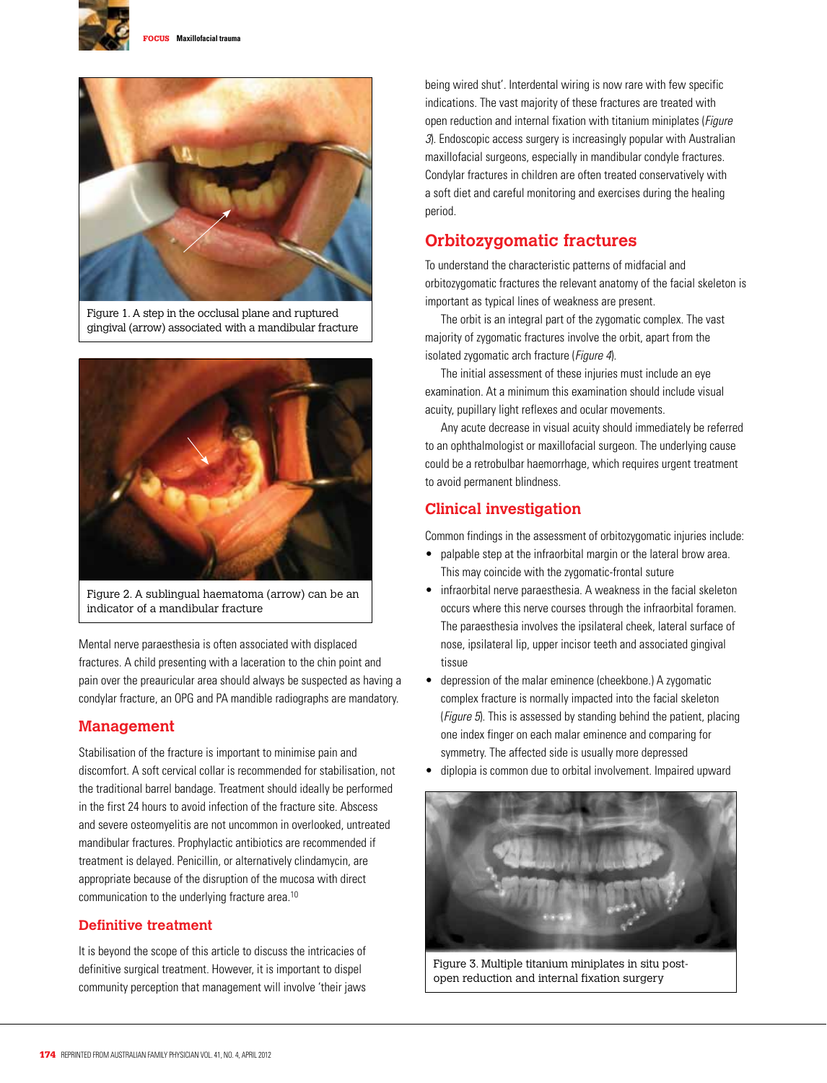



Figure 1. A step in the occlusal plane and ruptured gingival (arrow) associated with a mandibular fracture



Figure 2. A sublingual haematoma (arrow) can be an indicator of a mandibular fracture

Mental nerve paraesthesia is often associated with displaced fractures. A child presenting with a laceration to the chin point and pain over the preauricular area should always be suspected as having a condylar fracture, an OPG and PA mandible radiographs are mandatory.

#### **Management**

Stabilisation of the fracture is important to minimise pain and discomfort. A soft cervical collar is recommended for stabilisation, not the traditional barrel bandage. Treatment should ideally be performed in the first 24 hours to avoid infection of the fracture site. Abscess and severe osteomyelitis are not uncommon in overlooked, untreated mandibular fractures. Prophylactic antibiotics are recommended if treatment is delayed. Penicillin, or alternatively clindamycin, are appropriate because of the disruption of the mucosa with direct communication to the underlying fracture area.<sup>10</sup>

#### **Definitive treatment**

It is beyond the scope of this article to discuss the intricacies of definitive surgical treatment. However, it is important to dispel community perception that management will involve 'their jaws being wired shut'. Interdental wiring is now rare with few specific indications. The vast majority of these fractures are treated with open reduction and internal fixation with titanium miniplates (*Figure*) 3). Endoscopic access surgery is increasingly popular with Australian maxillofacial surgeons, especially in mandibular condyle fractures. Condylar fractures in children are often treated conservatively with a soft diet and careful monitoring and exercises during the healing period.

# **Orbitozygomatic fractures**

To understand the characteristic patterns of midfacial and orbitozygomatic fractures the relevant anatomy of the facial skeleton is important as typical lines of weakness are present.

The orbit is an integral part of the zygomatic complex. The vast majority of zygomatic fractures involve the orbit, apart from the isolated zygomatic arch fracture (*Figure 4*).

The initial assessment of these injuries must include an eye examination. At a minimum this examination should include visual acuity, pupillary light reflexes and ocular movements.

Any acute decrease in visual acuity should immediately be referred to an ophthalmologist or maxillofacial surgeon. The underlying cause could be a retrobulbar haemorrhage, which requires urgent treatment to avoid permanent blindness.

# **Clinical investigation**

Common findings in the assessment of orbitozygomatic injuries include:

- palpable step at the infraorbital margin or the lateral brow area. This may coincide with the zygomatic-frontal suture
- infraorbital nerve paraesthesia. A weakness in the facial skeleton occurs where this nerve courses through the infraorbital foramen. The paraesthesia involves the ipsilateral cheek, lateral surface of nose, ipsilateral lip, upper incisor teeth and associated gingival tissue
- depression of the malar eminence (cheekbone.) A zygomatic complex fracture is normally impacted into the facial skeleton (Figure 5). This is assessed by standing behind the patient, placing one index finger on each malar eminence and comparing for symmetry. The affected side is usually more depressed
- diplopia is common due to orbital involvement. Impaired upward



Figure 3. Multiple titanium miniplates in situ postopen reduction and internal fixation surgery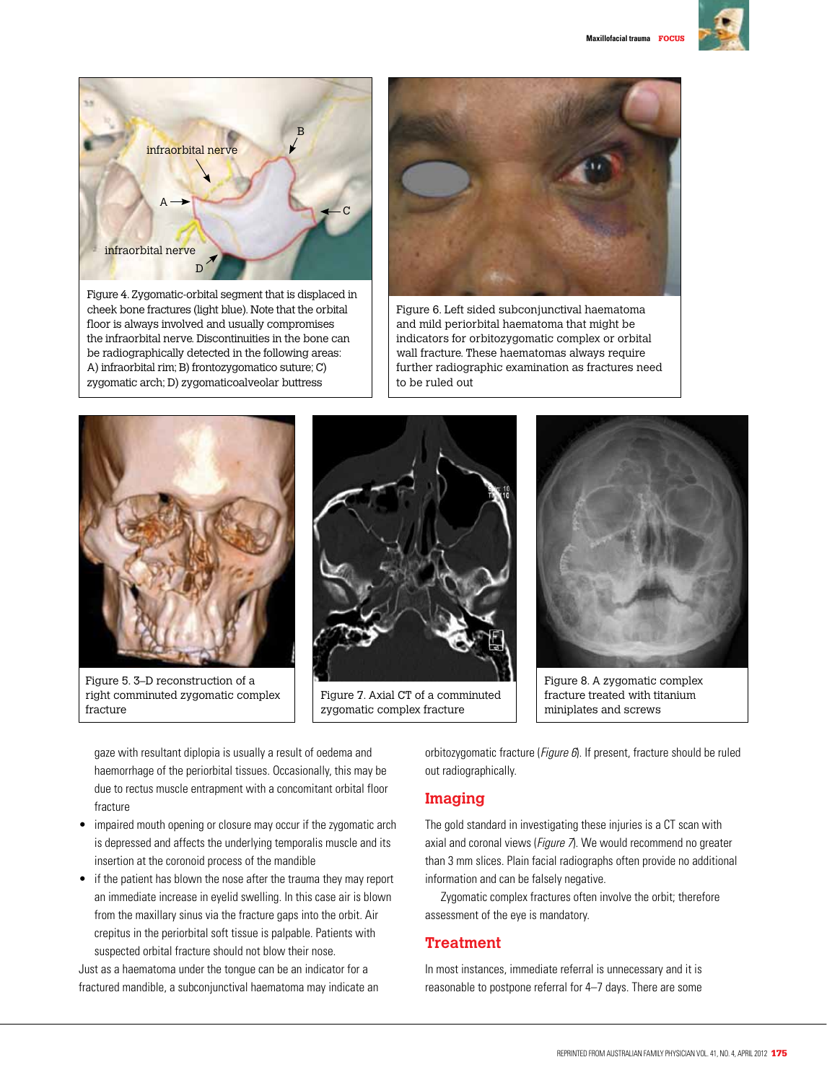



cheek bone fractures (light blue). Note that the orbital floor is always involved and usually compromises the infraorbital nerve. Discontinuities in the bone can be radiographically detected in the following areas: A) infraorbital rim; B) frontozygomatico suture; C) zygomatic arch; D) zygomaticoalveolar buttress



Figure 6. Left sided subconjunctival haematoma and mild periorbital haematoma that might be indicators for orbitozygomatic complex or orbital wall fracture. These haematomas always require further radiographic examination as fractures need to be ruled out



Figure 5. 3–D reconstruction of a right comminuted zygomatic complex fracture



Figure 7. Axial CT of a comminuted zygomatic complex fracture



Figure 8. A zygomatic complex fracture treated with titanium miniplates and screws

gaze with resultant diplopia is usually a result of oedema and haemorrhage of the periorbital tissues. Occasionally, this may be due to rectus muscle entrapment with a concomitant orbital floor fracture

- impaired mouth opening or closure may occur if the zygomatic arch is depressed and affects the underlying temporalis muscle and its insertion at the coronoid process of the mandible
- • if the patient has blown the nose after the trauma they may report an immediate increase in eyelid swelling. In this case air is blown from the maxillary sinus via the fracture gaps into the orbit. Air crepitus in the periorbital soft tissue is palpable. Patients with suspected orbital fracture should not blow their nose.

Just as a haematoma under the tongue can be an indicator for a fractured mandible, a subconjunctival haematoma may indicate an orbitozygomatic fracture (*Figure 6*). If present, fracture should be ruled out radiographically.

# **Imaging**

The gold standard in investigating these injuries is a CT scan with axial and coronal views (Figure 7). We would recommend no greater than 3 mm slices. Plain facial radiographs often provide no additional information and can be falsely negative.

Zygomatic complex fractures often involve the orbit; therefore assessment of the eye is mandatory.

# **Treatment**

In most instances, immediate referral is unnecessary and it is reasonable to postpone referral for 4–7 days. There are some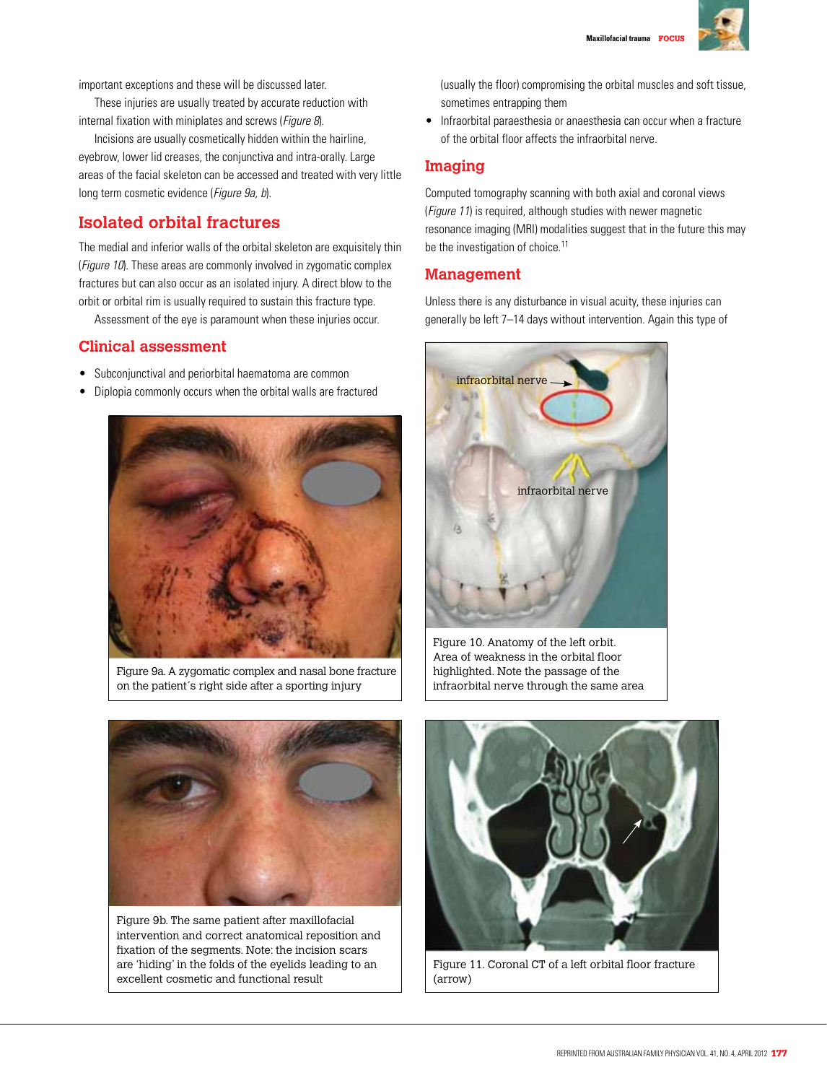

important exceptions and these will be discussed later.

These injuries are usually treated by accurate reduction with internal fixation with miniplates and screws (Figure 8).

Incisions are usually cosmetically hidden within the hairline, eyebrow, lower lid creases, the conjunctiva and intra-orally. Large areas of the facial skeleton can be accessed and treated with very little long term cosmetic evidence (Figure 9a, b).

# **Isolated orbital fractures**

The medial and inferior walls of the orbital skeleton are exquisitely thin (*Figure 10*). These areas are commonly involved in zygomatic complex fractures but can also occur as an isolated injury. A direct blow to the orbit or orbital rim is usually required to sustain this fracture type.

Assessment of the eye is paramount when these injuries occur.

#### **Clinical assessment**

- Subconjunctival and periorbital haematoma are common
- • Diplopia commonly occurs when the orbital walls are fractured



Figure 9a. A zygomatic complex and nasal bone fracture on the patient´s right side after a sporting injury

(usually the floor) compromising the orbital muscles and soft tissue, sometimes entrapping them

• Infraorbital paraesthesia or anaesthesia can occur when a fracture of the orbital floor affects the infraorbital nerve.

#### **Imaging**

Computed tomography scanning with both axial and coronal views (*Figure 11*) is required, although studies with newer magnetic resonance imaging (MRI) modalities suggest that in the future this may be the investigation of choice.<sup>11</sup>

## **Management**

Unless there is any disturbance in visual acuity, these injuries can generally be left 7–14 days without intervention. Again this type of



Figure 10. Anatomy of the left orbit. Area of weakness in the orbital floor highlighted. Note the passage of the infraorbital nerve through the same area



Figure 9b. The same patient after maxillofacial intervention and correct anatomical reposition and fixation of the segments. Note: the incision scars are 'hiding' in the folds of the eyelids leading to an excellent cosmetic and functional result



Figure 11. Coronal CT of a left orbital floor fracture (arrow)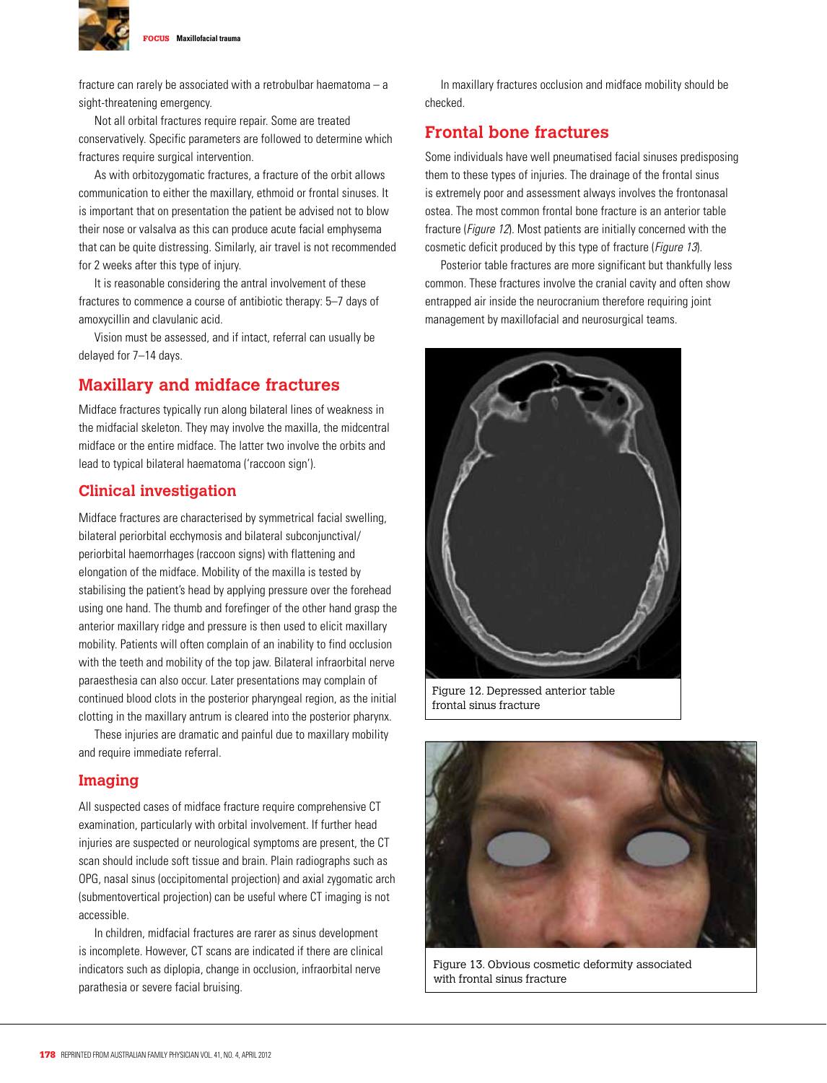

fracture can rarely be associated with a retrobulbar haematoma – a sight-threatening emergency.

Not all orbital fractures require repair. Some are treated conservatively. Specific parameters are followed to determine which fractures require surgical intervention.

As with orbitozygomatic fractures, a fracture of the orbit allows communication to either the maxillary, ethmoid or frontal sinuses. It is important that on presentation the patient be advised not to blow their nose or valsalva as this can produce acute facial emphysema that can be quite distressing. Similarly, air travel is not recommended for 2 weeks after this type of injury.

It is reasonable considering the antral involvement of these fractures to commence a course of antibiotic therapy: 5–7 days of amoxycillin and clavulanic acid.

Vision must be assessed, and if intact, referral can usually be delayed for 7–14 days.

# **Maxillary and midface fractures**

Midface fractures typically run along bilateral lines of weakness in the midfacial skeleton. They may involve the maxilla, the midcentral midface or the entire midface. The latter two involve the orbits and lead to typical bilateral haematoma ('raccoon sign').

#### **Clinical investigation**

Midface fractures are characterised by symmetrical facial swelling, bilateral periorbital ecchymosis and bilateral subconjunctival/ periorbital haemorrhages (raccoon signs) with flattening and elongation of the midface. Mobility of the maxilla is tested by stabilising the patient's head by applying pressure over the forehead using one hand. The thumb and forefinger of the other hand grasp the anterior maxillary ridge and pressure is then used to elicit maxillary mobility. Patients will often complain of an inability to find occlusion with the teeth and mobility of the top jaw. Bilateral infraorbital nerve paraesthesia can also occur. Later presentations may complain of continued blood clots in the posterior pharyngeal region, as the initial clotting in the maxillary antrum is cleared into the posterior pharynx.

These injuries are dramatic and painful due to maxillary mobility and require immediate referral.

#### **Imaging**

All suspected cases of midface fracture require comprehensive CT examination, particularly with orbital involvement. If further head injuries are suspected or neurological symptoms are present, the CT scan should include soft tissue and brain. Plain radiographs such as OPG, nasal sinus (occipitomental projection) and axial zygomatic arch (submentovertical projection) can be useful where CT imaging is not accessible.

In children, midfacial fractures are rarer as sinus development is incomplete. However, CT scans are indicated if there are clinical indicators such as diplopia, change in occlusion, infraorbital nerve parathesia or severe facial bruising.

In maxillary fractures occlusion and midface mobility should be checked.

# **Frontal bone fractures**

Some individuals have well pneumatised facial sinuses predisposing them to these types of injuries. The drainage of the frontal sinus is extremely poor and assessment always involves the frontonasal ostea. The most common frontal bone fracture is an anterior table fracture (Figure 12). Most patients are initially concerned with the cosmetic deficit produced by this type of fracture (*Figure 13*).

Posterior table fractures are more significant but thankfully less common. These fractures involve the cranial cavity and often show entrapped air inside the neurocranium therefore requiring joint management by maxillofacial and neurosurgical teams.



Figure 12. Depressed anterior table frontal sinus fracture



Figure 13. Obvious cosmetic deformity associated with frontal sinus fracture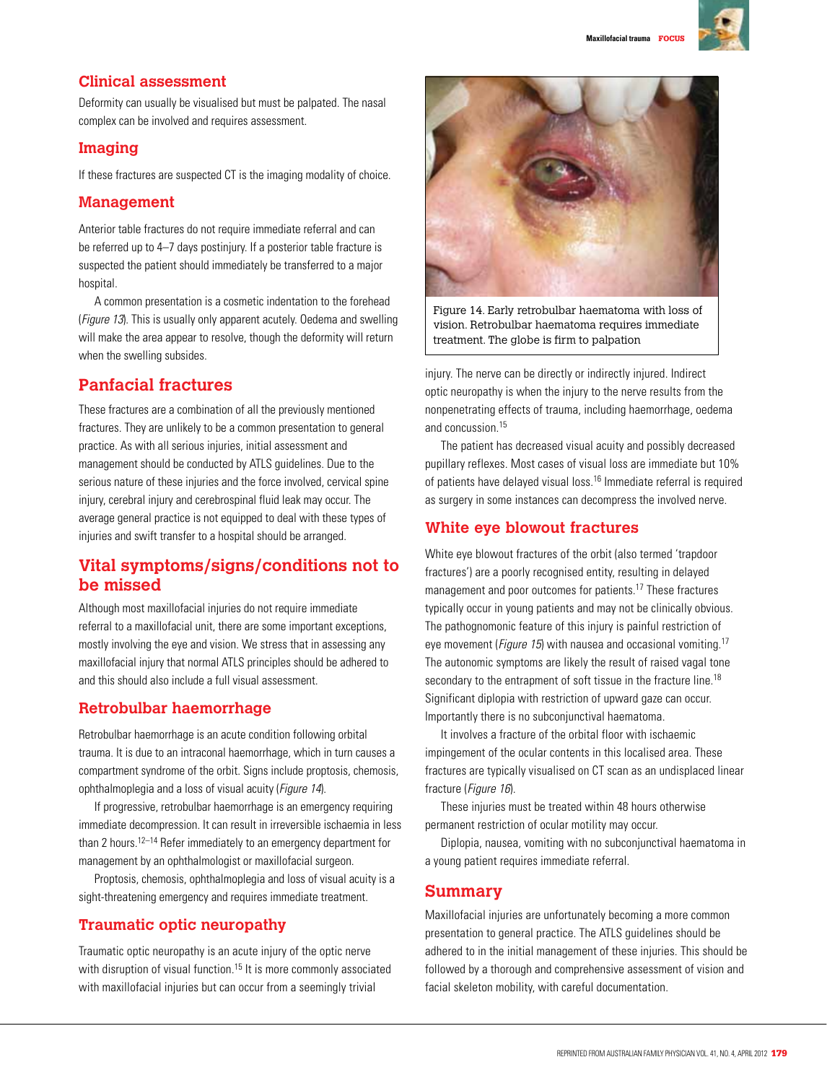

# **Clinical assessment**

Deformity can usually be visualised but must be palpated. The nasal complex can be involved and requires assessment.

# **Imaging**

If these fractures are suspected CT is the imaging modality of choice.

## **Management**

Anterior table fractures do not require immediate referral and can be referred up to 4–7 days postinjury. If a posterior table fracture is suspected the patient should immediately be transferred to a major hospital.

A common presentation is a cosmetic indentation to the forehead (Figure 13). This is usually only apparent acutely. Oedema and swelling will make the area appear to resolve, though the deformity will return when the swelling subsides.

# **Panfacial fractures**

These fractures are a combination of all the previously mentioned fractures. They are unlikely to be a common presentation to general practice. As with all serious injuries, initial assessment and management should be conducted by ATLS guidelines. Due to the serious nature of these injuries and the force involved, cervical spine injury, cerebral injury and cerebrospinal fluid leak may occur. The average general practice is not equipped to deal with these types of injuries and swift transfer to a hospital should be arranged.

# **Vital symptoms/signs/conditions not to be missed**

Although most maxillofacial injuries do not require immediate referral to a maxillofacial unit, there are some important exceptions, mostly involving the eye and vision. We stress that in assessing any maxillofacial injury that normal ATLS principles should be adhered to and this should also include a full visual assessment.

# **Retrobulbar haemorrhage**

Retrobulbar haemorrhage is an acute condition following orbital trauma. It is due to an intraconal haemorrhage, which in turn causes a compartment syndrome of the orbit. Signs include proptosis, chemosis, ophthalmoplegia and a loss of visual acuity (Figure 14).

If progressive, retrobulbar haemorrhage is an emergency requiring immediate decompression. It can result in irreversible ischaemia in less than 2 hours.<sup>12–14</sup> Refer immediately to an emergency department for management by an ophthalmologist or maxillofacial surgeon.

Proptosis, chemosis, ophthalmoplegia and loss of visual acuity is a sight-threatening emergency and requires immediate treatment.

# **Traumatic optic neuropathy**

Traumatic optic neuropathy is an acute injury of the optic nerve with disruption of visual function.<sup>15</sup> It is more commonly associated with maxillofacial injuries but can occur from a seemingly trivial



Figure 14. Early retrobulbar haematoma with loss of vision. Retrobulbar haematoma requires immediate treatment. The globe is firm to palpation

injury. The nerve can be directly or indirectly injured. Indirect optic neuropathy is when the injury to the nerve results from the nonpenetrating effects of trauma, including haemorrhage, oedema and concussion.15

The patient has decreased visual acuity and possibly decreased pupillary reflexes. Most cases of visual loss are immediate but 10% of patients have delayed visual loss.16 Immediate referral is required as surgery in some instances can decompress the involved nerve.

# **White eye blowout fractures**

White eye blowout fractures of the orbit (also termed 'trapdoor fractures') are a poorly recognised entity, resulting in delayed management and poor outcomes for patients.17 These fractures typically occur in young patients and may not be clinically obvious. The pathognomonic feature of this injury is painful restriction of eye movement (*Figure 15*) with nausea and occasional vomiting.<sup>17</sup> The autonomic symptoms are likely the result of raised vagal tone secondary to the entrapment of soft tissue in the fracture line.<sup>18</sup> Significant diplopia with restriction of upward gaze can occur. Importantly there is no subconjunctival haematoma.

It involves a fracture of the orbital floor with ischaemic impingement of the ocular contents in this localised area. These fractures are typically visualised on CT scan as an undisplaced linear fracture (Figure 16).

These injuries must be treated within 48 hours otherwise permanent restriction of ocular motility may occur.

Diplopia, nausea, vomiting with no subconjunctival haematoma in a young patient requires immediate referral.

# **Summary**

Maxillofacial injuries are unfortunately becoming a more common presentation to general practice. The ATLS guidelines should be adhered to in the initial management of these injuries. This should be followed by a thorough and comprehensive assessment of vision and facial skeleton mobility, with careful documentation.